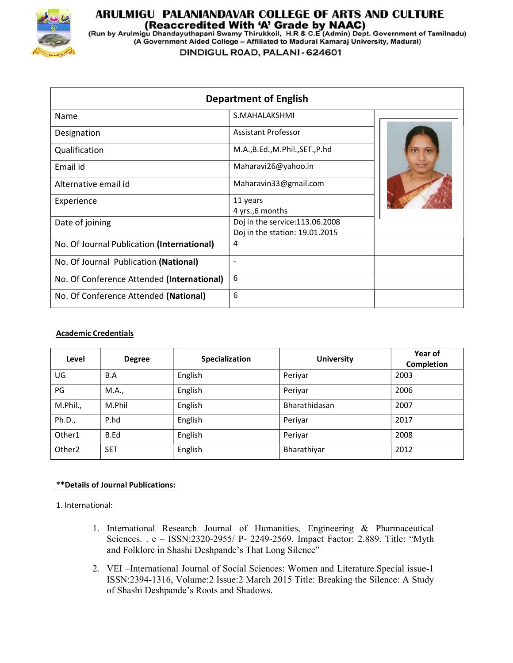

# ARULMIGU PALANIANDAVAR COLLEGE OF ARTS AND CULTURE

(Reaccredited With 'A' Grade by NAAC)<br>(Run by Arulmigu Dhandayuthapani Swamy Thirukkoil, H.R & C.E (Admin) Dept. Government of Tamilnadu)<br>(A Government Aided College – Affiliated to Madurai Kamaraj University, Madurai)

DINDIGUL ROAD, PALANI - 624601

| <b>Department of English</b>               |                                 |  |
|--------------------------------------------|---------------------------------|--|
| Name                                       | S.MAHALAKSHMI                   |  |
| Designation                                | <b>Assistant Professor</b>      |  |
| Qualification                              | M.A.,B.Ed.,M.Phil.,SET.,P.hd    |  |
| Email id                                   | Maharavi26@yahoo.in             |  |
| Alternative email id                       | Maharavin33@gmail.com           |  |
| Experience                                 | 11 years                        |  |
|                                            | 4 yrs.,6 months                 |  |
| Date of joining                            | Doj in the service: 113.06.2008 |  |
|                                            | Doj in the station: 19.01.2015  |  |
| No. Of Journal Publication (International) | 4                               |  |
| No. Of Journal Publication (National)      | $\overline{\phantom{a}}$        |  |
| No. Of Conference Attended (International) | 6                               |  |
| No. Of Conference Attended (National)      | 6                               |  |
|                                            |                                 |  |

## Academic Credentials

| Level              | <b>Degree</b> | Specialization | <b>University</b> | Year of<br>Completion |
|--------------------|---------------|----------------|-------------------|-----------------------|
| UG                 | B.A           | English        | Periyar           | 2003                  |
| PG                 | M.A.,         | English        | Periyar           | 2006                  |
| M.Phil.,           | M.Phil        | English        | Bharathidasan     | 2007                  |
| Ph.D.,             | P.hd          | English        | Periyar           | 2017                  |
| Other1             | B.Ed          | English        | Periyar           | 2008                  |
| Other <sub>2</sub> | <b>SET</b>    | English        | Bharathiyar       | 2012                  |

## \*\*Details of Journal Publications:

1. International:

- 1. International Research Journal of Humanities, Engineering & Pharmaceutical Sciences. . e – ISSN:2320-2955/ P- 2249-2569. Impact Factor: 2.889. Title: "Myth and Folklore in Shashi Deshpande's That Long Silence"
- 2. VEI –International Journal of Social Sciences: Women and Literature.Special issue-1 ISSN:2394-1316, Volume:2 Issue:2 March 2015 Title: Breaking the Silence: A Study of Shashi Deshpande's Roots and Shadows.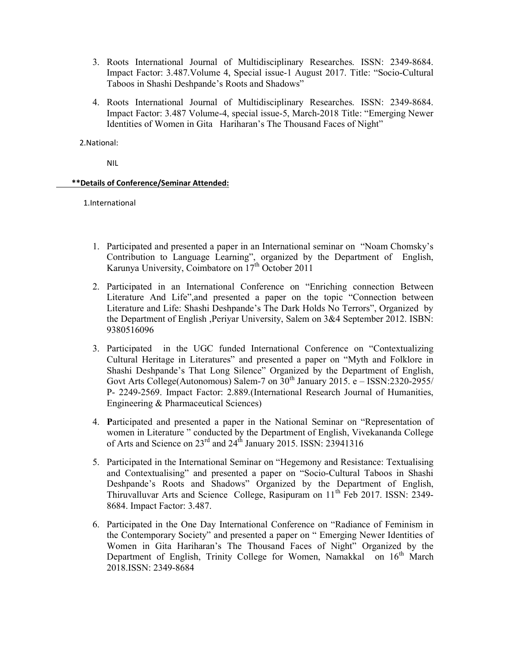- 3. Roots International Journal of Multidisciplinary Researches. ISSN: 2349-8684. Impact Factor: 3.487.Volume 4, Special issue-1 August 2017. Title: "Socio-Cultural Taboos in Shashi Deshpande's Roots and Shadows"
- 4. Roots International Journal of Multidisciplinary Researches. ISSN: 2349-8684. Impact Factor: 3.487 Volume-4, special issue-5, March-2018 Title: "Emerging Newer Identities of Women in Gita Hariharan's The Thousand Faces of Night"

2.National:

NIL

#### \*\*Details of Conference/Seminar Attended:

1.International

- 1. Participated and presented a paper in an International seminar on "Noam Chomsky's Contribution to Language Learning", organized by the Department of English, Karunya University, Coimbatore on  $17<sup>th</sup>$  October 2011
- 2. Participated in an International Conference on "Enriching connection Between Literature And Life",and presented a paper on the topic "Connection between Literature and Life: Shashi Deshpande's The Dark Holds No Terrors", Organized by the Department of English ,Periyar University, Salem on 3&4 September 2012. ISBN: 9380516096
- 3. Participated in the UGC funded International Conference on "Contextualizing Cultural Heritage in Literatures" and presented a paper on "Myth and Folklore in Shashi Deshpande's That Long Silence" Organized by the Department of English, Govt Arts College(Autonomous) Salem-7 on  $30<sup>th</sup>$  January 2015. e – ISSN:2320-2955/ P- 2249-2569. Impact Factor: 2.889.(International Research Journal of Humanities, Engineering & Pharmaceutical Sciences)
- 4. Participated and presented a paper in the National Seminar on "Representation of women in Literature " conducted by the Department of English, Vivekananda College of Arts and Science on  $23<sup>rd</sup>$  and  $24<sup>th</sup>$  January 2015. ISSN: 23941316
- 5. Participated in the International Seminar on "Hegemony and Resistance: Textualising and Contextualising" and presented a paper on "Socio-Cultural Taboos in Shashi Deshpande's Roots and Shadows" Organized by the Department of English, Thiruvalluvar Arts and Science College, Rasipuram on  $11<sup>th</sup>$  Feb 2017. ISSN: 2349-8684. Impact Factor: 3.487.
- 6. Participated in the One Day International Conference on "Radiance of Feminism in the Contemporary Society" and presented a paper on " Emerging Newer Identities of Women in Gita Hariharan's The Thousand Faces of Night" Organized by the Department of English, Trinity College for Women, Namakkal on  $16<sup>th</sup>$  March 2018.ISSN: 2349-8684